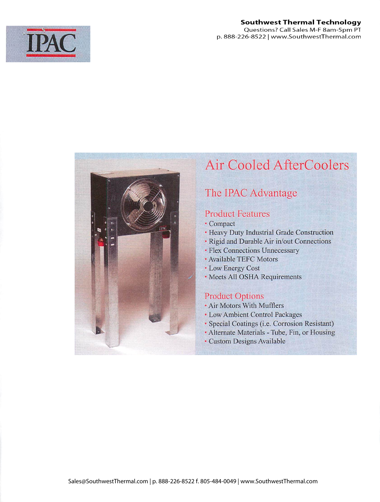

### **Southwest Thermal Technology** Questions? Call Sales M-F 8am-5pm PT p. 888-226-8522 | www.SouthwestThermal.com



# Air Cooled AfterCoolers

# The IPAC Advantage

## Product Features

- Heavy Duly Industrial Grade Construction
- Rigid and Durable Air in/out Connections
- Flex Connections Unnecessary
- Available TEFC Motors
- Low Energy Cost
- Meets All OSHA Requirements

## Product Options

- Air Motors With Mufflers
- Low Ambient Control Packages
- Special Coatings (i.e. Corrosion Resistant)
- Alternate Materials Tube, Fin, or Housing
- Custom Designs Available